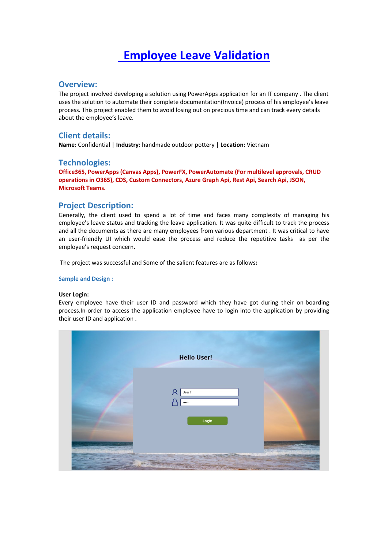# **Employee Leave Validation**

### **Overview:**

The project involved developing a solution using PowerApps application for an IT company . The client uses the solution to automate their complete documentation(Invoice) process of his employee's leave process. This project enabled them to avoid losing out on precious time and can track every details about the employee's leave.

## **Client details:**

**Name:** Confidential | **Industry:** handmade outdoor pottery | **Location:** Vietnam

#### **Technologies:**

**Office365, PowerApps (Canvas Apps), PowerFX, PowerAutomate (For multilevel approvals, CRUD operations in O365), CDS, Custom Connectors, Azure Graph Api, Rest Api, Search Api, JSON, Microsoft Teams.**

## **Project Description:**

Generally, the client used to spend a lot of time and faces many complexity of managing his employee's leave status and tracking the leave application. It was quite difficult to track the process and all the documents as there are many employees from various department . It was critical to have an user-friendly UI which would ease the process and reduce the repetitive tasks as per the employee's request concern.

The project was successful and Some of the salient features are as follows**:**

#### **Sample and Design :**

#### **User Login:**

Every employee have their user ID and password which they have got during their on-boarding process.In-order to access the application employee have to login into the application by providing their user ID and application .

| <b>Hello User!</b>                   |  |
|--------------------------------------|--|
| O<br>User1<br>L<br>$\cdots$<br>Login |  |
|                                      |  |